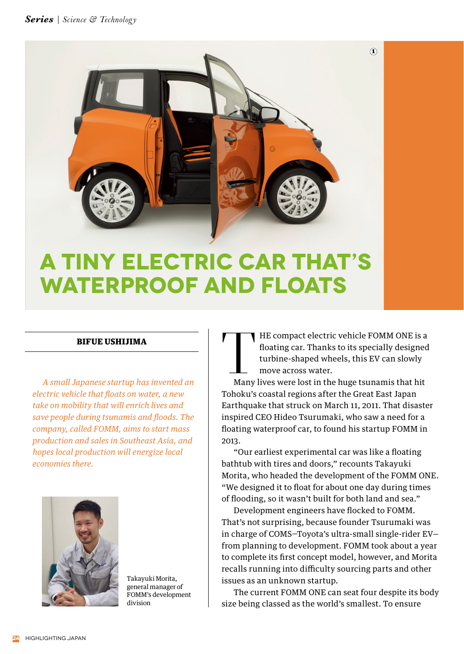

## **A Tiny Electric Car That's Waterproof and Floats**

## BIFUE USHIJIMA

*A small Japanese startup has invented an electric vehicle that floats on water, a new take on mobility that will enrich lives and save people during tsunamis and floods. The company, called FOMM, aims to start mass production and sales in Southeast Asia, and hopes local production will energize local economies there.*



Takayuki Morita, general manager of FOMM's development division

THE compact electric vehicle FOMM ONE is a floating car. Thanks to its specially designed turbine-shaped wheels, this EV can slowly move across water.<br>Many lives were lost in the huge tsunamis that hit floating car. Thanks to its specially designed turbine-shaped wheels, this EV can slowly move across water.

Tohoku's coastal regions after the Great East Japan Earthquake that struck on March 11, 2011. That disaster inspired CEO Hideo Tsurumaki, who saw a need for a floating waterproof car, to found his startup FOMM in 2013.

 "Our earliest experimental car was like a floating bathtub with tires and doors," recounts Takayuki Morita, who headed the development of the FOMM ONE. "We designed it to float for about one day during times of flooding, so it wasn't built for both land and sea."

 Development engineers have flocked to FOMM. That's not surprising, because founder Tsurumaki was in charge of COMS—Toyota's ultra-small single-rider EV from planning to development. FOMM took about a year to complete its first concept model, however, and Morita recalls running into difficulty sourcing parts and other issues as an unknown startup.

 The current FOMM ONE can seat four despite its body size being classed as the world's smallest. To ensure